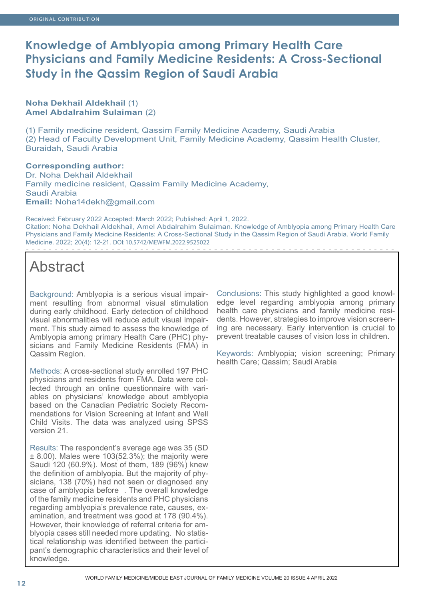# **Knowledge of Amblyopia among Primary Health Care Physicians and Family Medicine Residents: A Cross-Sectional Study in the Qassim Region of Saudi Arabia**

### **Noha Dekhail Aldekhail** (1) **Amel Abdalrahim Sulaiman** (2)

(1) Family medicine resident, Qassim Family Medicine Academy, Saudi Arabia (2) Head of Faculty Development Unit, Family Medicine Academy, Qassim Health Cluster, Buraidah, Saudi Arabia

#### **Corresponding author:** Dr. Noha Dekhail Aldekhail Family medicine resident, Qassim Family Medicine Academy, Saudi Arabia **Email:** Noha14dekh@gmail.com

Received: February 2022 Accepted: March 2022; Published: April 1, 2022. Citation: Noha Dekhail Aldekhail, Amel Abdalrahim Sulaiman. Knowledge of Amblyopia among Primary Health Care Physicians and Family Medicine Residents: A Cross-Sectional Study in the Qassim Region of Saudi Arabia. World Family Medicine. 2022; 20(4): 12-21. DOI: 10.5742/MEWFM.2022.9525022

# Abstract

Background: Amblyopia is a serious visual impairment resulting from abnormal visual stimulation during early childhood. Early detection of childhood visual abnormalities will reduce adult visual impairment. This study aimed to assess the knowledge of Amblyopia among primary Health Care (PHC) physicians and Family Medicine Residents (FMA) in Qassim Region.

Methods: A cross-sectional study enrolled 197 PHC physicians and residents from FMA. Data were collected through an online questionnaire with variables on physicians' knowledge about amblyopia based on the Canadian Pediatric Society Recommendations for Vision Screening at Infant and Well Child Visits. The data was analyzed using SPSS version 21.

Results: The respondent's average age was 35 (SD ± 8.00). Males were 103(52.3%); the majority were Saudi 120 (60.9%). Most of them, 189 (96%) knew the definition of amblyopia. But the majority of physicians, 138 (70%) had not seen or diagnosed any case of amblyopia before . The overall knowledge of the family medicine residents and PHC physicians regarding amblyopia's prevalence rate, causes, examination, and treatment was good at 178 (90.4%). However, their knowledge of referral criteria for amblyopia cases still needed more updating. No statistical relationship was identified between the participant's demographic characteristics and their level of knowledge.

Conclusions: This study highlighted a good knowledge level regarding amblyopia among primary health care physicians and family medicine residents. However, strategies to improve vision screening are necessary. Early intervention is crucial to prevent treatable causes of vision loss in children.

Keywords: Amblyopia; vision screening; Primary health Care; Qassim; Saudi Arabia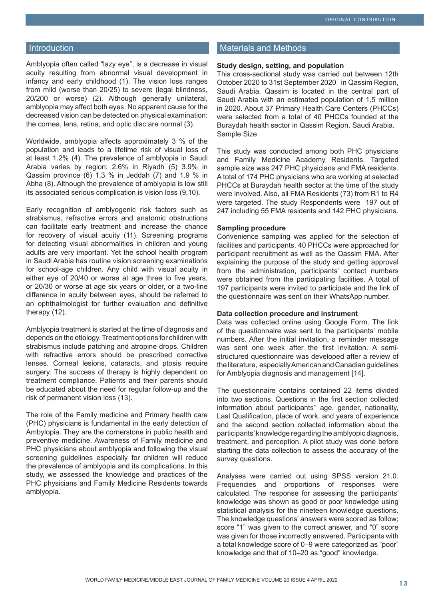#### Introduction

Amblyopia often called "lazy eye", is a decrease in visual acuity resulting from abnormal visual development in infancy and early childhood (1). The vision loss ranges from mild (worse than 20/25) to severe (legal blindness, 20/200 or worse) (2). Although generally unilateral, amblyopia may affect both eyes. No apparent cause for the decreased vision can be detected on physical examination: the cornea, lens, retina, and optic disc are normal (3).

Worldwide, amblyopia affects approximately 3 % of the population and leads to a lifetime risk of visual loss of at least 1.2% (4). The prevalence of amblyopia in Saudi Arabia varies by region: 2.6% in Riyadh (5) 3.9% in Qassim province (6) 1.3 % in Jeddah (7) and 1.9 % in Abha (8). Although the prevalence of amblyopia is low still its associated serious complication is vision loss (9,10).

Early recognition of amblyogenic risk factors such as strabismus, refractive errors and anatomic obstructions can facilitate early treatment and increase the chance for recovery of visual acuity (11). Screening programs for detecting visual abnormalities in children and young adults are very important. Yet the school health program in Saudi Arabia has routine vision screening examinations for school-age children. Any child with visual acuity in either eye of 20/40 or worse at age three to five years, or 20/30 or worse at age six years or older, or a two-line difference in acuity between eyes, should be referred to an ophthalmologist for further evaluation and definitive therapy (12).

Amblyopia treatment is started at the time of diagnosis and depends on the etiology. Treatment options for children with strabismus include patching and atropine drops. Children with refractive errors should be prescribed corrective lenses. Corneal lesions, cataracts, and ptosis require surgery. The success of therapy is highly dependent on treatment compliance. Patients and their parents should be educated about the need for regular follow-up and the risk of permanent vision loss (13).

The role of the Family medicine and Primary health care (PHC) physicians is fundamental in the early detection of Ambylopia. They are the cornerstone in public health and preventive medicine. Awareness of Family medicine and PHC physicians about amblyopia and following the visual screening guidelines especially for children will reduce the prevalence of amblyopia and its complications. In this study, we assessed the knowledge and practices of the PHC physicians and Family Medicine Residents towards amblyopia.

#### Materials and Methods

#### **Study design, setting, and population**

This cross-sectional study was carried out between 12th October 2020 to 31st September 2020 in Qassim Region, Saudi Arabia. Qassim is located in the central part of Saudi Arabia with an estimated population of 1.5 million in 2020. About 37 Primary Health Care Centers (PHCCs) were selected from a total of 40 PHCCs founded at the Buraydah health sector in Qassim Region, Saudi Arabia. Sample Size

This study was conducted among both PHC physicians and Family Medicine Academy Residents. Targeted sample size was 247 PHC physicians and FMA residents. A total of 174 PHC physicians who are working at selected PHCCs at Buraydah health sector at the time of the study were involved. Also, all FMA Residents (73) from R1 to R4 were targeted. The study Respondents were 197 out of 247 including 55 FMA residents and 142 PHC physicians.

#### **Sampling procedure**

Convenience sampling was applied for the selection of facilities and participants. 40 PHCCs were approached for participant recruitment as well as the Qassim FMA. After explaining the purpose of the study and getting approval from the administration, participants' contact numbers were obtained from the participating facilities. A total of 197 participants were invited to participate and the link of the questionnaire was sent on their WhatsApp number.

#### **Data collection procedure and instrument**

Data was collected online using Google Form. The link of the questionnaire was sent to the participants' mobile numbers. After the initial invitation, a reminder message was sent one week after the first invitation. A semistructured questionnaire was developed after a review of the literature, especially American and Canadian guidelines for Amblyopia diagnosis and management [14].

The questionnaire contains contained 22 items divided into two sections. Questions in the first section collected information about participants'' age, gender, nationality, Last Qualification, place of work, and years of experience and the second section collected information about the participants' knowledge regarding the amblyopic diagnosis, treatment, and perception. A pilot study was done before starting the data collection to assess the accuracy of the survey questions.

Analyses were carried out using SPSS version 21.0. Frequencies and proportions of responses were calculated. The response for assessing the participants' knowledge was shown as good or poor knowledge using statistical analysis for the nineteen knowledge questions. The knowledge questions' answers were scored as follow; score "1" was given to the correct answer, and "0" score was given for those incorrectly answered. Participants with a total knowledge score of 0–9 were categorized as "poor" knowledge and that of 10–20 as "good" knowledge.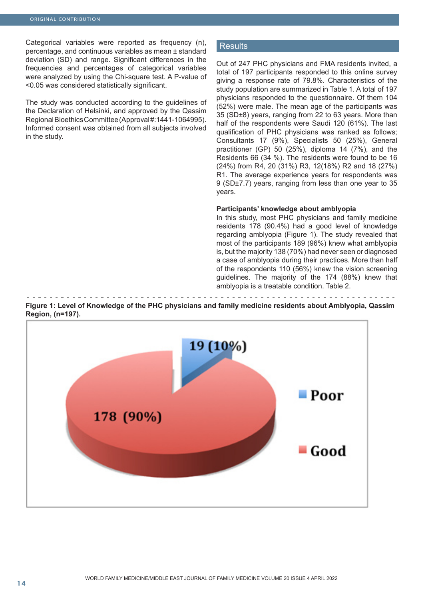Categorical variables were reported as frequency (n), percentage, and continuous variables as mean ± standard deviation (SD) and range. Significant differences in the frequencies and percentages of categorical variables were analyzed by using the Chi-square test. A P-value of <0.05 was considered statistically significant.

The study was conducted according to the guidelines of the Declaration of Helsinki, and approved by the Qassim Regional Bioethics Committee (Approval #:1441-1064995). Informed consent was obtained from all subjects involved in the study.

#### Results

Out of 247 PHC physicians and FMA residents invited, a total of 197 participants responded to this online survey giving a response rate of 79.8%. Characteristics of the study population are summarized in Table 1. A total of 197 physicians responded to the questionnaire. Of them 104 (52%) were male. The mean age of the participants was 35 (SD±8) years, ranging from 22 to 63 years. More than half of the respondents were Saudi 120 (61%). The last qualification of PHC physicians was ranked as follows; Consultants 17 (9%), Specialists 50 (25%), General practitioner (GP) 50 (25%), diploma 14 (7%), and the Residents 66 (34 %). The residents were found to be 16 (24%) from R4, 20 (31%) R3, 12(18%) R2 and 18 (27%) R1. The average experience years for respondents was 9 (SD±7.7) years, ranging from less than one year to 35 years.

#### **Participants' knowledge about amblyopia**

In this study, most PHC physicians and family medicine residents 178 (90.4%) had a good level of knowledge regarding amblyopia (Figure 1). The study revealed that most of the participants 189 (96%) knew what amblyopia is, but the majority 138 (70%) had never seen or diagnosed a case of amblyopia during their practices. More than half of the respondents 110 (56%) knew the vision screening guidelines. The majority of the 174 (88%) knew that amblyopia is a treatable condition. Table 2.

**Figure 1: Level of Knowledge of the PHC physicians and family medicine residents about Amblyopia, Qassim Region, (n=197).**

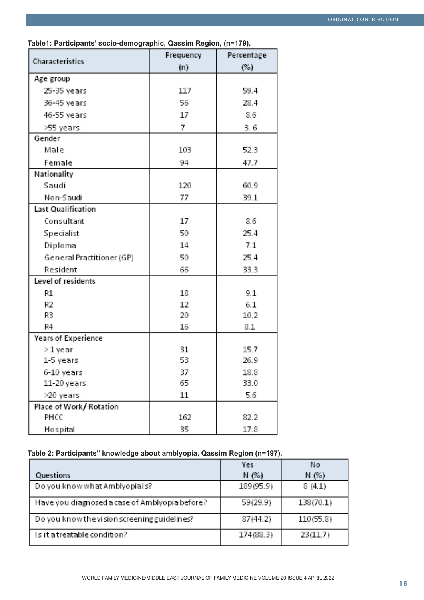|                            | Frequency | Percentage |
|----------------------------|-----------|------------|
| Characteristics            | (n)       | (%)        |
| Age group                  |           |            |
| 25-35 years                | 117       | 59.4       |
| 36-45 years                | 56        | 28.4       |
| 46-55 years                | 17        | 8.6        |
| >55 years                  | 7         | 3.6        |
| Gender                     |           |            |
| Male                       | 103       | 52.3       |
| Female                     | 94        | 47.7       |
| Nationality                |           |            |
| Saudi                      | 120       | 60.9       |
| Non-Saudi                  | 77        | 39.1       |
| Last Qualification         |           |            |
| Consultant                 | 17        | 8.6        |
| Specialist                 | 50        | 25.4       |
| Diploma                    | 14        | 7.1        |
| General Practitioner (GP)  | 50        | 25.4       |
| Resident                   | 66        | 33.3       |
| Level of residents         |           |            |
| R1                         | 18        | 9.1        |
| R2                         | 12        | 6.1        |
| R3                         | 20        | 10.2       |
| R4                         | 16        | 8.1        |
| <b>Years of Experience</b> |           |            |
| > 1 year                   | 31        | 15.7       |
| 1-5 years                  | 53        | 26.9       |
| 6-10 years                 | 37        | 18.8       |
| 11-20 years                | 65        | 33.0       |
| >20 years                  | 11        | 5.6        |
| Place of Work/Rotation     |           |            |
| PHCC                       | 162       | 82.2       |
| Hospital                   | 35        | 17.8       |

**Table1: Participants' socio-demographic, Qassim Region, (n=179).**

## **Table 2: Participants'' knowledge about amblyopia, Qassim Region (n=197).**

|                                                | Yes       | No        |
|------------------------------------------------|-----------|-----------|
| Questions                                      | N(%)      | N(%)      |
| Do you know what Amblyopiais?                  | 189(95.9) | 8(4.1)    |
| Have you diagnosed a case of Amblyopia before? | 59(29.9)  | 138(70.1) |
| Do you know the vision screening guidelines?   | 87(44.2)  | 110(55.8) |
| Is it a treatable condition?                   | 174(88.3) | 23(11.7)  |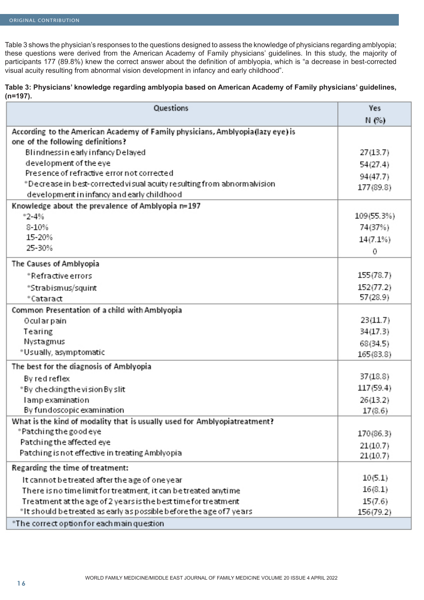Table 3 shows the physician's responses to the questions designed to assess the knowledge of physicians regarding amblyopia; these questions were derived from the American Academy of Family physicians' guidelines. In this study, the majority of participants 177 (89.8%) knew the correct answer about the definition of amblyopia, which is "a decrease in best-corrected visual acuity resulting from abnormal vision development in infancy and early childhood".

#### **Table 3: Physicians' knowledge regarding amblyopia based on American Academy of Family physicians' guidelines, (n=197).**

| Questions                                                                                                            | Yes         |
|----------------------------------------------------------------------------------------------------------------------|-------------|
|                                                                                                                      | N(%)        |
| According to the American Academy of Family physicians, Amblyopia (lazy eye) is<br>one of the following definitions? |             |
| Blindnessin early infancy Delayed                                                                                    | 27(13.7)    |
| development of the eye                                                                                               | 54(27.4)    |
| Presence of refractive error not corrected                                                                           | 94(47.7)    |
| *Decrease in best-corrected visual acuity resulting from abnormalvision                                              | 177(89.8)   |
| development in infancy and early childhood                                                                           |             |
| Knowledge about the prevalence of Amblyopia n=197                                                                    |             |
| $^{\circ}2 - 4\%$                                                                                                    | 109 (55.3%) |
| $8 - 10%$                                                                                                            | 74(37%)     |
| 15-20%                                                                                                               | 14(7.1%)    |
| 25-30%                                                                                                               | 0           |
| The Causes of Amblyopia                                                                                              |             |
| *Refractive errors                                                                                                   | 155(78.7)   |
| *Strabismus/squint                                                                                                   | 152(77.2)   |
| *Cataract                                                                                                            | 57(28.9)    |
| Common Presentation of a child with Amblyopia                                                                        |             |
| Ocularpain                                                                                                           | 23(11.7)    |
| Tearing                                                                                                              | 34(17.3)    |
| Nystagmus                                                                                                            | 68(34.5)    |
| *Usually, asymptomatic                                                                                               | 165(83.8)   |
| The best for the diagnosis of Amblyopia                                                                              |             |
| By red reflex                                                                                                        | 37(18.8)    |
| *By checkingthevision By slit                                                                                        | 117(59.4)   |
| l amp examination                                                                                                    | 26(13.2)    |
| By fundoscopic examination                                                                                           | 17(8.6)     |
| What is the kind of modality that is usually used for Amblyopiatreatment?                                            |             |
| *Patching the good eye                                                                                               | 170(86.3)   |
| Patching the affected eye                                                                                            | 21(10.7)    |
| Patching is not effective in treating Amblyopia                                                                      | 21(10.7)    |
| Regarding the time of treatment:                                                                                     |             |
| It cannot be treated after the age of one year                                                                       | 10(5.1)     |
| There is no time limit for treatment, it can be treated anytime                                                      | 16(8.1)     |
| Treatment at the age of 2 years is the best time for treatment                                                       | 15(7.6)     |
| *It should be treated as early as possible before the age of 7 years                                                 | 156(79.2)   |
| *The correct option for each main question                                                                           |             |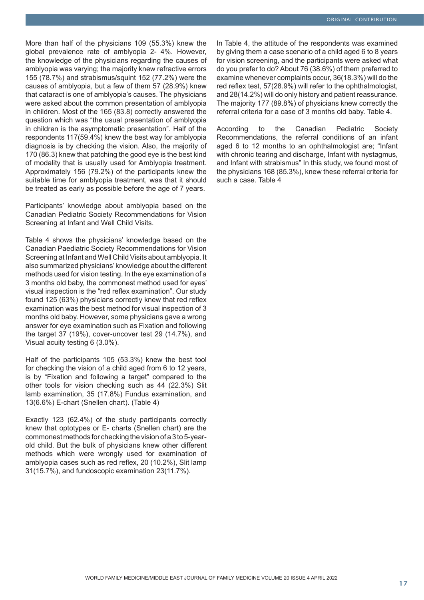More than half of the physicians 109 (55.3%) knew the global prevalence rate of amblyopia 2- 4%. However, the knowledge of the physicians regarding the causes of amblyopia was varying; the majority knew refractive errors 155 (78.7%) and strabismus/squint 152 (77.2%) were the causes of amblyopia, but a few of them 57 (28.9%) knew that cataract is one of amblyopia's causes. The physicians were asked about the common presentation of amblyopia in children. Most of the 165 (83.8) correctly answered the question which was "the usual presentation of amblyopia in children is the asymptomatic presentation". Half of the respondents 117(59.4%) knew the best way for amblyopia diagnosis is by checking the vision. Also, the majority of 170 (86.3) knew that patching the good eye is the best kind of modality that is usually used for Amblyopia treatment. Approximately 156 (79.2%) of the participants knew the suitable time for amblyopia treatment, was that it should be treated as early as possible before the age of 7 years.

Participants' knowledge about amblyopia based on the Canadian Pediatric Society Recommendations for Vision Screening at Infant and Well Child Visits.

Table 4 shows the physicians' knowledge based on the Canadian Paediatric Society Recommendations for Vision Screening at Infant and Well Child Visits about amblyopia. It also summarized physicians' knowledge about the different methods used for vision testing. In the eye examination of a 3 months old baby, the commonest method used for eyes' visual inspection is the "red reflex examination". Our study found 125 (63%) physicians correctly knew that red reflex examination was the best method for visual inspection of 3 months old baby. However, some physicians gave a wrong answer for eye examination such as Fixation and following the target 37 (19%), cover-uncover test 29 (14.7%), and Visual acuity testing 6 (3.0%).

Half of the participants 105 (53.3%) knew the best tool for checking the vision of a child aged from 6 to 12 years, is by "Fixation and following a target" compared to the other tools for vision checking such as 44 (22.3%) Slit lamb examination, 35 (17.8%) Fundus examination, and 13(6.6%) E-chart (Snellen chart). (Table 4)

Exactly 123 (62.4%) of the study participants correctly knew that optotypes or E- charts (Snellen chart) are the commonest methods for checking the vision of a 3 to 5-yearold child. But the bulk of physicians knew other different methods which were wrongly used for examination of amblyopia cases such as red reflex, 20 (10.2%), Slit lamp 31(15.7%), and fundoscopic examination 23(11.7%).

In Table 4, the attitude of the respondents was examined by giving them a case scenario of a child aged 6 to 8 years for vision screening, and the participants were asked what do you prefer to do? About 76 (38.6%) of them preferred to examine whenever complaints occur, 36(18.3%) will do the red reflex test, 57(28.9%) will refer to the ophthalmologist, and 28(14.2%) will do only history and patient reassurance. The majority 177 (89.8%) of physicians knew correctly the referral criteria for a case of 3 months old baby. Table 4.

According to the Canadian Pediatric Society Recommendations, the referral conditions of an infant aged 6 to 12 months to an ophthalmologist are; "Infant with chronic tearing and discharge, Infant with nystagmus, and Infant with strabismus" In this study, we found most of the physicians 168 (85.3%), knew these referral criteria for such a case. Table 4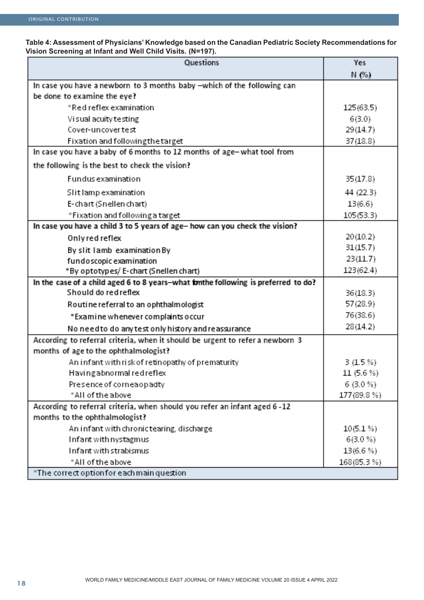#### **Table 4: Assessment of Physicians' Knowledge based on the Canadian Pediatric Society Recommendations for Vision Screening at Infant and Well Child Visits. (N=197).**

| Questions                                                                          | Yes         |
|------------------------------------------------------------------------------------|-------------|
|                                                                                    | N (%)       |
| In case you have a newborn to 3 months baby -which of the following can            |             |
| be done to examine the eye?                                                        |             |
| *Red reflex examination                                                            | 125(63.5)   |
| Visual acuity testing                                                              | 6(3.0)      |
| Cover-uncover test                                                                 | 29(14.7)    |
| Fixation and followingthe target                                                   | 37(18.8)    |
| In case you have a baby of 6 months to 12 months of age-what tool from             |             |
| the following is the best to check the vision?                                     |             |
| <b>Fundus examination</b>                                                          | 35(17.8)    |
| Slit lamp examination                                                              | 44 (22.3)   |
| E-chart (Snellen chart)                                                            | 13(6.6)     |
| *Fixation and following a target                                                   | 105(53.3)   |
| In case you have a child 3 to 5 years of age- how can you check the vision?        |             |
| Only red reflex                                                                    | 20(10.2)    |
| By slit lamb examination By                                                        | 31(15.7)    |
| fundoscopic examination                                                            | 23(11.7)    |
| *By optotypes/ E-chart (Snellen chart)                                             | 123(62.4)   |
| In the case of a child aged 6 to 8 years-what fonthe following is preferred to do? |             |
| Should do red reflex                                                               | 36(18.3)    |
| Routine referral to an ophthalmologist                                             | 57(28.9)    |
| * Examine whenever complaints occur                                                | 76(38.6)    |
| No need to do any test only history and reassurance                                | 28(14.2)    |
| According to referral criteria, when it should be urgent to refer a newborn 3      |             |
| months of age to the ophthalmologist?                                              |             |
| An infant with risk of retinopathy of prematurity                                  | 3(1.5%)     |
| Having abnormal red reflex                                                         | 11 (5.6 %)  |
| Presence of corneaopadty                                                           | $6(3.0\%)$  |
| *All of the above                                                                  | 177 (89.8%) |
| According to referral criteria, when should you refer an infant aged 6 - 12        |             |
| months to the ophthalmologist?                                                     |             |
| An infant with chronic tearing, discharge                                          | $10(5.1\%)$ |
| Infant with nystagmus                                                              | $6(3.0\%)$  |
| Infant with strabismus                                                             | $13(6.6\%)$ |
| *All of the above                                                                  | 168(85.3%)  |
| *The correct option for each main question                                         |             |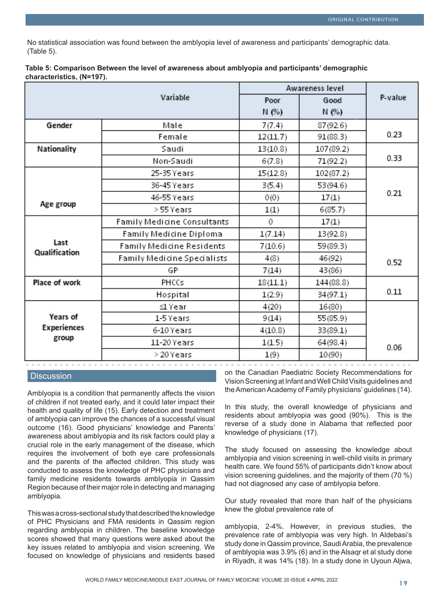No statistical association was found between the amblyopia level of awareness and participants' demographic data. (Table 5).

| Table 5: Comparison Between the level of awareness about amblyopia and participants' demographic |  |  |
|--------------------------------------------------------------------------------------------------|--|--|
| characteristics, (N=197).                                                                        |  |  |

|                       |                                  | Awareness level |           |         |
|-----------------------|----------------------------------|-----------------|-----------|---------|
|                       | Variable                         |                 | Good      | P-value |
|                       |                                  | N(%)            | N(%)      |         |
| Gender                | Male                             | 7(7.4)          | 87(92.6)  |         |
|                       | Female                           | 12(11.7)        | 91 (88.3) | 0.23    |
| Nationality           | Saudi                            | 13(10.8)        | 107(89.2) |         |
|                       | Non-Saudi                        | 6(7.8)          | 71(92.2)  | 0.33    |
|                       | 25-35 Years                      | 15(12.8)        | 102(87.2) |         |
|                       | 36-45 Years                      | 3(5.4)          | 53(94.6)  |         |
|                       | 46-55 Years                      | 0(0)            | 17(1)     | 0.21    |
| Age group             | > 55 Years                       | 1(1)            | 6(85.7)   |         |
|                       | Family Medicine Consultants      | 0               | 17(1)     |         |
|                       | Family Medicine Diploma          | 1(7.14)         | 13(92.8)  |         |
| Last<br>Qualification | <b>Family Medicine Residents</b> | 7(10.6)         | 59 (89.3) |         |
|                       | Family Medicine Specialists      | 4(8)            | 46(92)    | 0.52    |
|                       | GP                               | 7 (14)          | 43(86)    |         |
| Place of work         | PHCCs                            | 18(11.1)        | 144(88.8) |         |
|                       | Hospital                         | 1(2.9)          | 34(97.1)  | 0.11    |
|                       | ⊴l Year                          | 4(20)           | 16(80)    |         |
| Years of              | 1-5 Years                        | 9(14)           | 55 (85.9) |         |
| Experiences           | 6-10 Years                       | 4(10.8)         | 33(89.1)  |         |
| group                 | 11-20 Years                      | 1(1.5)          | 64(98.4)  | 0.06    |
|                       | > 20 Years                       | 1(9)            | 10(90)    |         |

#### **Discussion**

Amblyopia is a condition that permanently affects the vision of children if not treated early, and it could later impact their health and quality of life (15). Early detection and treatment of amblyopia can improve the chances of a successful visual outcome (16). Good physicians' knowledge and Parents' awareness about amblyopia and its risk factors could play a crucial role in the early management of the disease, which requires the involvement of both eye care professionals and the parents of the affected children. This study was conducted to assess the knowledge of PHC physicians and family medicine residents towards amblyopia in Qassim Region because of their major role in detecting and managing amblyopia.

This was a cross-sectional study that described the knowledge of PHC Physicians and FMA residents in Qassim region regarding amblyopia in children. The baseline knowledge scores showed that many questions were asked about the key issues related to amblyopia and vision screening. We focused on knowledge of physicians and residents based on the Canadian Paediatric Society Recommendations for Vision Screening at Infant and Well Child Visits guidelines and the American Academy of Family physicians' guidelines (14).

In this study, the overall knowledge of physicians and residents about amblyopia was good (90%). This is the reverse of a study done in Alabama that reflected poor knowledge of physicians (17).

The study focused on assessing the knowledge about amblyopia and vision screening in well-child visits in primary health care. We found 55% of participants didn't know about vision screening guidelines, and the majority of them (70 %) had not diagnosed any case of amblyopia before.

Our study revealed that more than half of the physicians knew the global prevalence rate of

amblyopia, 2-4%. However, in previous studies, the prevalence rate of amblyopia was very high. In Aldebasi's study done in Qassim province, Saudi Arabia, the prevalence of amblyopia was 3.9% (6) and in the Alsaqr et al study done in Riyadh, it was 14% (18). In a study done in Uyoun Aljwa,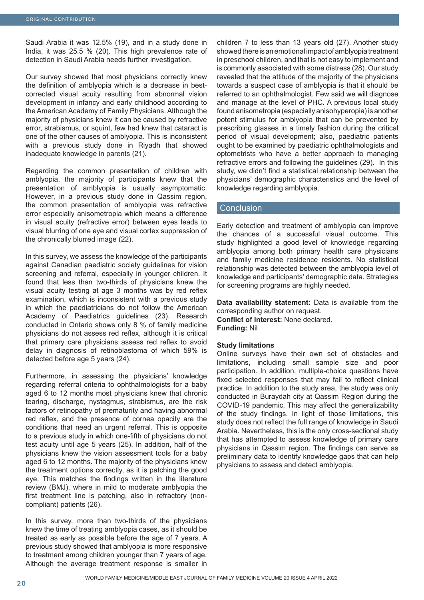Saudi Arabia it was 12.5% (19), and in a study done in India, it was 25.5 % (20). This high prevalence rate of detection in Saudi Arabia needs further investigation.

Our survey showed that most physicians correctly knew the definition of amblyopia which is a decrease in bestcorrected visual acuity resulting from abnormal vision development in infancy and early childhood according to the American Academy of Family Physicians. Although the majority of physicians knew it can be caused by refractive error, strabismus, or squint, few had knew that cataract is one of the other causes of amblyopia. This is inconsistent with a previous study done in Riyadh that showed inadequate knowledge in parents (21).

Regarding the common presentation of children with amblyopia, the majority of participants knew that the presentation of amblyopia is usually asymptomatic. However, in a previous study done in Qassim region, the common presentation of amblyopia was refractive error especially anisometropia which means a difference in visual acuity (refractive error) between eyes leads to visual blurring of one eye and visual cortex suppression of the chronically blurred image (22).

In this survey, we assess the knowledge of the participants against Canadian paediatric society guidelines for vision screening and referral, especially in younger children. It found that less than two-thirds of physicians knew the visual acuity testing at age 3 months was by red reflex examination, which is inconsistent with a previous study in which the paediatricians do not follow the American Academy of Paediatrics guidelines (23). Research conducted in Ontario shows only 8 % of family medicine physicians do not assess red reflex, although it is critical that primary care physicians assess red reflex to avoid delay in diagnosis of retinoblastoma of which 59% is detected before age 5 years (24).

Furthermore, in assessing the physicians' knowledge regarding referral criteria to ophthalmologists for a baby aged 6 to 12 months most physicians knew that chronic tearing, discharge, nystagmus, strabismus, are the risk factors of retinopathy of prematurity and having abnormal red reflex, and the presence of cornea opacity are the conditions that need an urgent referral. This is opposite to a previous study in which one-fifth of physicians do not test acuity until age 5 years (25). In addition, half of the physicians knew the vision assessment tools for a baby aged 6 to 12 months. The majority of the physicians knew the treatment options correctly, as it is patching the good eye. This matches the findings written in the literature review (BMJ), where in mild to moderate amblyopia the first treatment line is patching, also in refractory (noncompliant) patients (26).

In this survey, more than two-thirds of the physicians knew the time of treating amblyopia cases, as it should be treated as early as possible before the age of 7 years. A previous study showed that amblyopia is more responsive to treatment among children younger than 7 years of age. Although the average treatment response is smaller in

children 7 to less than 13 years old (27). Another study showed there is an emotional impact of amblyopia treatment in preschool children, and that is not easy to implement and is commonly associated with some distress (28). Our study revealed that the attitude of the majority of the physicians towards a suspect case of amblyopia is that it should be referred to an ophthalmologist. Few said we will diagnose and manage at the level of PHC. A previous local study found anisometropia (especially anisohyperopia) is another potent stimulus for amblyopia that can be prevented by prescribing glasses in a timely fashion during the critical period of visual development; also, paediatric patients ought to be examined by paediatric ophthalmologists and optometrists who have a better approach to managing refractive errors and following the guidelines (29). In this study, we didn't find a statistical relationship between the physicians' demographic characteristics and the level of knowledge regarding amblyopia.

#### **Conclusion**

Early detection and treatment of amblyopia can improve the chances of a successful visual outcome. This study highlighted a good level of knowledge regarding amblyopia among both primary health care physicians and family medicine residence residents. No statistical relationship was detected between the amblyopia level of knowledge and participants' demographic data. Strategies for screening programs are highly needed.

**Data availability statement:** Data is available from the corresponding author on request. **Conflict of Interest:** None declared. **Funding:** Nil

#### **Study limitations**

Online surveys have their own set of obstacles and limitations, including small sample size and poor participation. In addition, multiple-choice questions have fixed selected responses that may fail to reflect clinical practice. In addition to the study area, the study was only conducted in Buraydah city at Qassim Region during the COVID-19 pandemic. This may affect the generalizability of the study findings. In light of those limitations, this study does not reflect the full range of knowledge in Saudi Arabia. Nevertheless, this is the only cross-sectional study that has attempted to assess knowledge of primary care physicians in Qassim region. The findings can serve as preliminary data to identify knowledge gaps that can help physicians to assess and detect amblyopia.